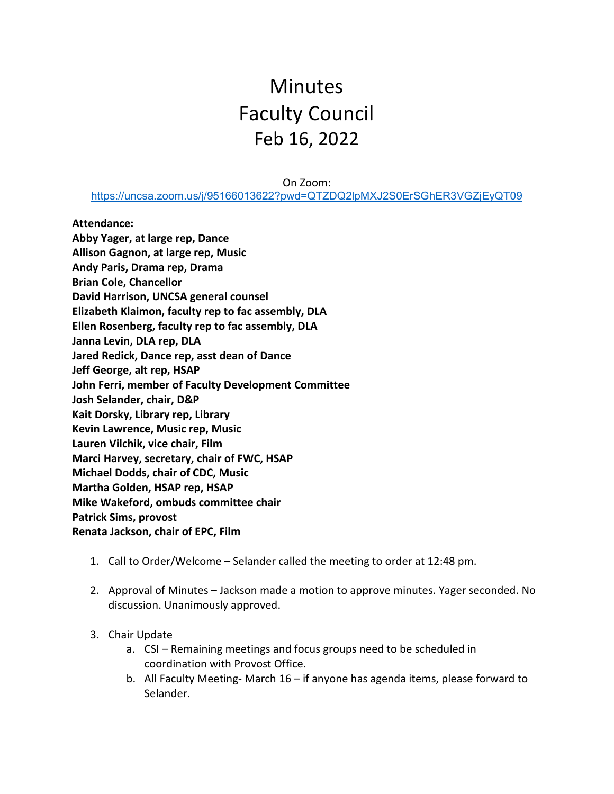## Minutes Faculty Council Feb 16, 2022

On Zoom:

<https://uncsa.zoom.us/j/95166013622?pwd=QTZDQ2lpMXJ2S0ErSGhER3VGZjEyQT09>

**Attendance:**

**Abby Yager, at large rep, Dance Allison Gagnon, at large rep, Music Andy Paris, Drama rep, Drama Brian Cole, Chancellor David Harrison, UNCSA general counsel Elizabeth Klaimon, faculty rep to fac assembly, DLA Ellen Rosenberg, faculty rep to fac assembly, DLA Janna Levin, DLA rep, DLA Jared Redick, Dance rep, asst dean of Dance Jeff George, alt rep, HSAP John Ferri, member of Faculty Development Committee Josh Selander, chair, D&P Kait Dorsky, Library rep, Library Kevin Lawrence, Music rep, Music Lauren Vilchik, vice chair, Film Marci Harvey, secretary, chair of FWC, HSAP Michael Dodds, chair of CDC, Music Martha Golden, HSAP rep, HSAP Mike Wakeford, ombuds committee chair Patrick Sims, provost Renata Jackson, chair of EPC, Film**

- 1. Call to Order/Welcome Selander called the meeting to order at 12:48 pm.
- 2. Approval of Minutes Jackson made a motion to approve minutes. Yager seconded. No discussion. Unanimously approved.
- 3. Chair Update
	- a. CSI Remaining meetings and focus groups need to be scheduled in coordination with Provost Office.
	- b. All Faculty Meeting- March 16 if anyone has agenda items, please forward to Selander.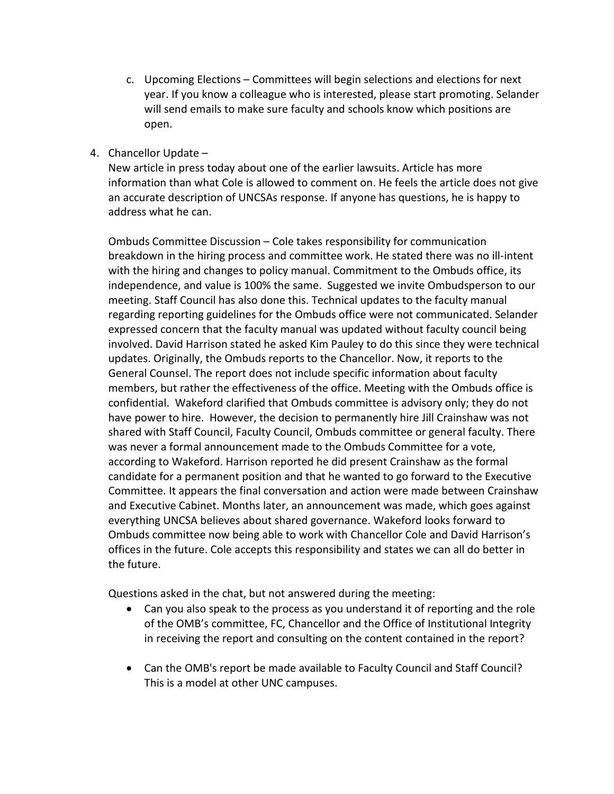- c. Upcoming Elections Committees will begin selections and elections for next year. If you know a colleague who is interested, please start promoting. Selander will send emails to make sure faculty and schools know which positions are open.
- 4. Chancellor Update –

New article in press today about one of the earlier lawsuits. Article has more information than what Cole is allowed to comment on. He feels the article does not give an accurate description of UNCSAs response. If anyone has questions, he is happy to address what he can.

Ombuds Committee Discussion – Cole takes responsibility for communication breakdown in the hiring process and committee work. He stated there was no ill-intent with the hiring and changes to policy manual. Commitment to the Ombuds office, its independence, and value is 100% the same. Suggested we invite Ombudsperson to our meeting. Staff Council has also done this. Technical updates to the faculty manual regarding reporting guidelines for the Ombuds office were not communicated. Selander expressed concern that the faculty manual was updated without faculty council being involved. David Harrison stated he asked Kim Pauley to do this since they were technical updates. Originally, the Ombuds reports to the Chancellor. Now, it reports to the General Counsel. The report does not include specific information about faculty members, but rather the effectiveness of the office. Meeting with the Ombuds office is confidential. Wakeford clarified that Ombuds committee is advisory only; they do not have power to hire. However, the decision to permanently hire Jill Crainshaw was not shared with Staff Council, Faculty Council, Ombuds committee or general faculty. There was never a formal announcement made to the Ombuds Committee for a vote, according to Wakeford. Harrison reported he did present Crainshaw as the formal candidate for a permanent position and that he wanted to go forward to the Executive Committee. It appears the final conversation and action were made between Crainshaw and Executive Cabinet. Months later, an announcement was made, which goes against everything UNCSA believes about shared governance. Wakeford looks forward to Ombuds committee now being able to work with Chancellor Cole and David Harrison's offices in the future. Cole accepts this responsibility and states we can all do better in the future.

Questions asked in the chat, but not answered during the meeting:

- Can you also speak to the process as you understand it of reporting and the role of the OMB's committee, FC, Chancellor and the Office of Institutional Integrity in receiving the report and consulting on the content contained in the report?
- Can the OMB's report be made available to Faculty Council and Staff Council? This is a model at other UNC campuses.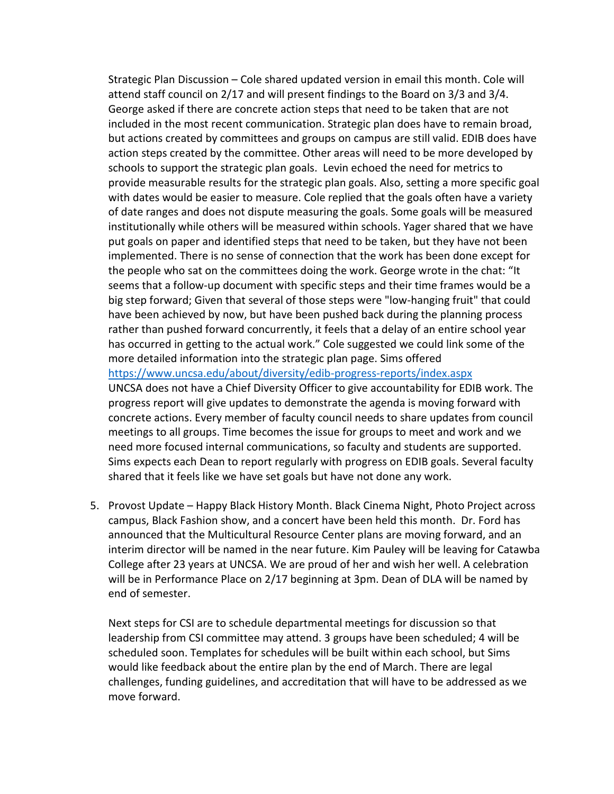Strategic Plan Discussion – Cole shared updated version in email this month. Cole will attend staff council on 2/17 and will present findings to the Board on 3/3 and 3/4. George asked if there are concrete action steps that need to be taken that are not included in the most recent communication. Strategic plan does have to remain broad, but actions created by committees and groups on campus are still valid. EDIB does have action steps created by the committee. Other areas will need to be more developed by schools to support the strategic plan goals. Levin echoed the need for metrics to provide measurable results for the strategic plan goals. Also, setting a more specific goal with dates would be easier to measure. Cole replied that the goals often have a variety of date ranges and does not dispute measuring the goals. Some goals will be measured institutionally while others will be measured within schools. Yager shared that we have put goals on paper and identified steps that need to be taken, but they have not been implemented. There is no sense of connection that the work has been done except for the people who sat on the committees doing the work. George wrote in the chat: "It seems that a follow-up document with specific steps and their time frames would be a big step forward; Given that several of those steps were "low-hanging fruit" that could have been achieved by now, but have been pushed back during the planning process rather than pushed forward concurrently, it feels that a delay of an entire school year has occurred in getting to the actual work." Cole suggested we could link some of the more detailed information into the strategic plan page. Sims offered <https://www.uncsa.edu/about/diversity/edib-progress-reports/index.aspx> UNCSA does not have a Chief Diversity Officer to give accountability for EDIB work. The progress report will give updates to demonstrate the agenda is moving forward with concrete actions. Every member of faculty council needs to share updates from council meetings to all groups. Time becomes the issue for groups to meet and work and we need more focused internal communications, so faculty and students are supported. Sims expects each Dean to report regularly with progress on EDIB goals. Several faculty

5. Provost Update – Happy Black History Month. Black Cinema Night, Photo Project across campus, Black Fashion show, and a concert have been held this month. Dr. Ford has announced that the Multicultural Resource Center plans are moving forward, and an interim director will be named in the near future. Kim Pauley will be leaving for Catawba College after 23 years at UNCSA. We are proud of her and wish her well. A celebration will be in Performance Place on 2/17 beginning at 3pm. Dean of DLA will be named by end of semester.

shared that it feels like we have set goals but have not done any work.

Next steps for CSI are to schedule departmental meetings for discussion so that leadership from CSI committee may attend. 3 groups have been scheduled; 4 will be scheduled soon. Templates for schedules will be built within each school, but Sims would like feedback about the entire plan by the end of March. There are legal challenges, funding guidelines, and accreditation that will have to be addressed as we move forward.